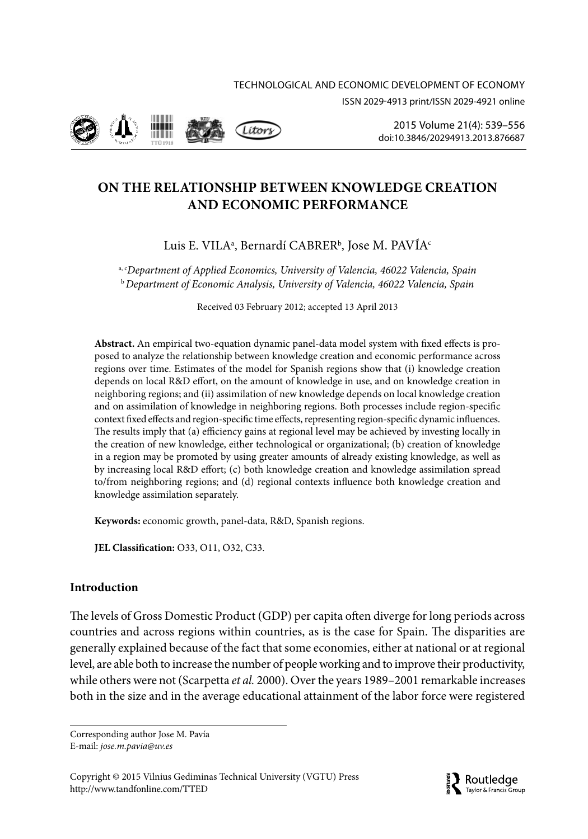

2015 Volume 21(4): 539–556 [doi:10.3846/20294913.2013.876687](http://dx.doi.org/10.3846/20294913.2013.876687)

# **On the Relationship between Knowledge Creation and Economic Performance**

Luis E. VILAª, Bernardí CABRER<sup>b</sup>, Jose M. PAVÍA<sup>c</sup>

a, c*Department of Applied Economics, University of Valencia, 46022 Valencia, Spain* <sup>b</sup>*Department of Economic Analysis, University of Valencia, 46022 Valencia, Spain*

Received 03 February 2012; accepted 13 April 2013

**Abstract.** An empirical two-equation dynamic panel-data model system with fixed effects is proposed to analyze the relationship between knowledge creation and economic performance across regions over time. Estimates of the model for Spanish regions show that (i) knowledge creation depends on local R&D effort, on the amount of knowledge in use, and on knowledge creation in neighboring regions; and (ii) assimilation of new knowledge depends on local knowledge creation and on assimilation of knowledge in neighboring regions. Both processes include region-specific context fixed effects and region-specific time effects, representing region-specific dynamic influences. The results imply that (a) efficiency gains at regional level may be achieved by investing locally in the creation of new knowledge, either technological or organizational; (b) creation of knowledge in a region may be promoted by using greater amounts of already existing knowledge, as well as by increasing local R&D effort; (c) both knowledge creation and knowledge assimilation spread to/from neighboring regions; and (d) regional contexts influence both knowledge creation and knowledge assimilation separately.

**Keywords:** economic growth, panel-data, R&D, Spanish regions.

**JEL Classification:** O33, O11, O32, C33.

# **Introduction**

The levels of Gross Domestic Product (GDP) per capita often diverge for long periods across countries and across regions within countries, as is the case for Spain. The disparities are generally explained because of the fact that some economies, either at national or at regional level, are able both to increase the number of people working and to improve their productivity, while others were not (Scarpetta *et al.* 2000). Over the years 1989–2001 remarkable increases both in the size and in the average educational attainment of the labor force were registered

Corresponding author Jose M. Pavía E-mail: *jose.m.pavia@uv.es*

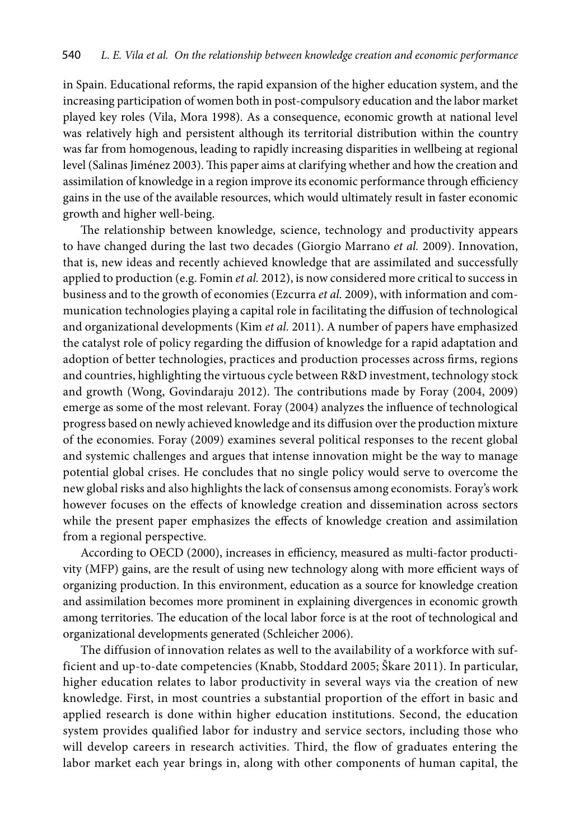in Spain. Educational reforms, the rapid expansion of the higher education system, and the increasing participation of women both in post-compulsory education and the labor market played key roles (Vila, Mora 1998). As a consequence, economic growth at national level was relatively high and persistent although its territorial distribution within the country was far from homogenous, leading to rapidly increasing disparities in wellbeing at regional level (Salinas Jiménez 2003). This paper aims at clarifying whether and how the creation and assimilation of knowledge in a region improve its economic performance through efficiency gains in the use of the available resources, which would ultimately result in faster economic growth and higher well-being.

The relationship between knowledge, science, technology and productivity appears to have changed during the last two decades (Giorgio Marrano *et al.* 2009). Innovation, that is, new ideas and recently achieved knowledge that are assimilated and successfully applied to production (e.g. Fomin *et al.* 2012), is now considered more critical to success in business and to the growth of economies (Ezcurra *et al.* 2009), with information and communication technologies playing a capital role in facilitating the diffusion of technological and organizational developments (Kim *et al.* 2011). A number of papers have emphasized the catalyst role of policy regarding the diffusion of knowledge for a rapid adaptation and adoption of better technologies, practices and production processes across firms, regions and countries, highlighting the virtuous cycle between R&D investment, technology stock and growth (Wong, Govindaraju 2012). The contributions made by Foray (2004, 2009) emerge as some of the most relevant. Foray (2004) analyzes the influence of technological progress based on newly achieved knowledge and its diffusion over the production mixture of the economies. Foray (2009) examines several political responses to the recent global and systemic challenges and argues that intense innovation might be the way to manage potential global crises. He concludes that no single policy would serve to overcome the new global risks and also highlights the lack of consensus among economists. Foray's work however focuses on the effects of knowledge creation and dissemination across sectors while the present paper emphasizes the effects of knowledge creation and assimilation from a regional perspective.

According to OECD (2000), increases in efficiency, measured as multi-factor productivity (MFP) gains, are the result of using new technology along with more efficient ways of organizing production. In this environment, education as a source for knowledge creation and assimilation becomes more prominent in explaining divergences in economic growth among territories. The education of the local labor force is at the root of technological and organizational developments generated (Schleicher 2006).

The diffusion of innovation relates as well to the availability of a workforce with sufficient and up-to-date competencies (Knabb, Stoddard 2005; Škare 2011). In particular, higher education relates to labor productivity in several ways via the creation of new knowledge. First, in most countries a substantial proportion of the effort in basic and applied research is done within higher education institutions. Second, the education system provides qualified labor for industry and service sectors, including those who will develop careers in research activities. Third, the flow of graduates entering the labor market each year brings in, along with other components of human capital, the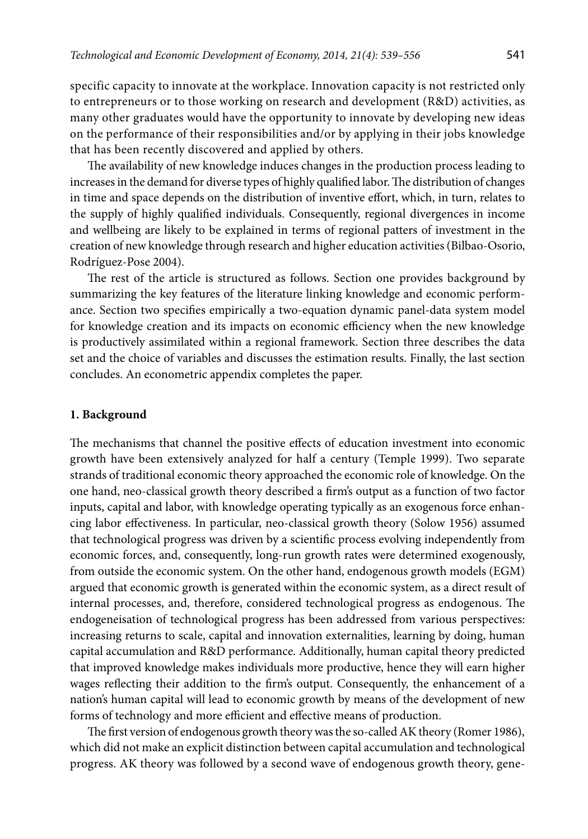specific capacity to innovate at the workplace. Innovation capacity is not restricted only to entrepreneurs or to those working on research and development (R&D) activities, as many other graduates would have the opportunity to innovate by developing new ideas on the performance of their responsibilities and/or by applying in their jobs knowledge that has been recently discovered and applied by others.

The availability of new knowledge induces changes in the production process leading to increases in the demand for diverse types of highly qualified labor. The distribution of changes in time and space depends on the distribution of inventive effort, which, in turn, relates to the supply of highly qualified individuals. Consequently, regional divergences in income and wellbeing are likely to be explained in terms of regional patters of investment in the creation of new knowledge through research and higher education activities (Bilbao-Osorio, Rodríguez-Pose 2004).

The rest of the article is structured as follows. Section one provides background by summarizing the key features of the literature linking knowledge and economic performance. Section two specifies empirically a two-equation dynamic panel-data system model for knowledge creation and its impacts on economic efficiency when the new knowledge is productively assimilated within a regional framework. Section three describes the data set and the choice of variables and discusses the estimation results. Finally, the last section concludes. An econometric appendix completes the paper.

### **1. Background**

The mechanisms that channel the positive effects of education investment into economic growth have been extensively analyzed for half a century (Temple 1999). Two separate strands of traditional economic theory approached the economic role of knowledge. On the one hand, neo-classical growth theory described a firm's output as a function of two factor inputs, capital and labor, with knowledge operating typically as an exogenous force enhancing labor effectiveness. In particular, neo-classical growth theory (Solow 1956) assumed that technological progress was driven by a scientific process evolving independently from economic forces, and, consequently, long-run growth rates were determined exogenously, from outside the economic system. On the other hand, endogenous growth models (EGM) argued that economic growth is generated within the economic system, as a direct result of internal processes, and, therefore, considered technological progress as endogenous. The endogeneisation of technological progress has been addressed from various perspectives: increasing returns to scale, capital and innovation externalities, learning by doing, human capital accumulation and R&D performance. Additionally, human capital theory predicted that improved knowledge makes individuals more productive, hence they will earn higher wages reflecting their addition to the firm's output. Consequently, the enhancement of a nation's human capital will lead to economic growth by means of the development of new forms of technology and more efficient and effective means of production.

The first version of endogenous growth theory was the so-called AK theory (Romer 1986), which did not make an explicit distinction between capital accumulation and technological progress. AK theory was followed by a second wave of endogenous growth theory, gene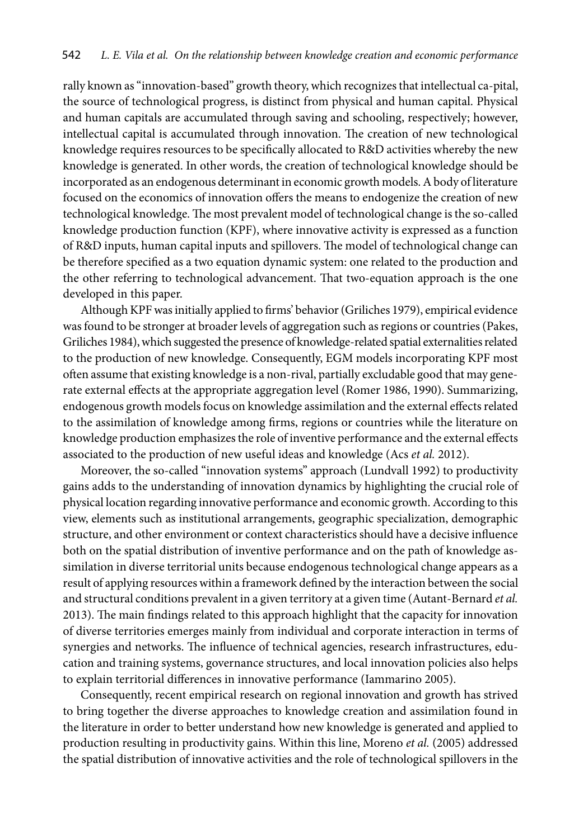rally known as "innovation-based" growth theory, which recognizes that intellectual ca-pital, the source of technological progress, is distinct from physical and human capital. Physical and human capitals are accumulated through saving and schooling, respectively; however, intellectual capital is accumulated through innovation. The creation of new technological knowledge requires resources to be specifically allocated to R&D activities whereby the new knowledge is generated. In other words, the creation of technological knowledge should be incorporated as an endogenous determinant in economic growth models. A body of literature focused on the economics of innovation offers the means to endogenize the creation of new technological knowledge. The most prevalent model of technological change is the so-called knowledge production function (KPF), where innovative activity is expressed as a function of R&D inputs, human capital inputs and spillovers. The model of technological change can be therefore specified as a two equation dynamic system: one related to the production and the other referring to technological advancement. That two-equation approach is the one developed in this paper.

Although KPF was initially applied to firms' behavior (Griliches 1979), empirical evidence was found to be stronger at broader levels of aggregation such as regions or countries (Pakes, Griliches 1984), which suggested the presence of knowledge-related spatial externalities related to the production of new knowledge. Consequently, EGM models incorporating KPF most often assume that existing knowledge is a non-rival, partially excludable good that may generate external effects at the appropriate aggregation level (Romer 1986, 1990). Summarizing, endogenous growth models focus on knowledge assimilation and the external effects related to the assimilation of knowledge among firms, regions or countries while the literature on knowledge production emphasizes the role of inventive performance and the external effects associated to the production of new useful ideas and knowledge (Acs *et al.* 2012).

Moreover, the so-called "innovation systems" approach (Lundvall 1992) to productivity gains adds to the understanding of innovation dynamics by highlighting the crucial role of physical location regarding innovative performance and economic growth. According to this view, elements such as institutional arrangements, geographic specialization, demographic structure, and other environment or context characteristics should have a decisive influence both on the spatial distribution of inventive performance and on the path of knowledge assimilation in diverse territorial units because endogenous technological change appears as a result of applying resources within a framework defined by the interaction between the social and structural conditions prevalent in a given territory at a given time (Autant-Bernard *et al.* 2013). The main findings related to this approach highlight that the capacity for innovation of diverse territories emerges mainly from individual and corporate interaction in terms of synergies and networks. The influence of technical agencies, research infrastructures, education and training systems, governance structures, and local innovation policies also helps to explain territorial differences in innovative performance (Iammarino 2005).

Consequently, recent empirical research on regional innovation and growth has strived to bring together the diverse approaches to knowledge creation and assimilation found in the literature in order to better understand how new knowledge is generated and applied to production resulting in productivity gains. Within this line, Moreno *et al.* (2005) addressed the spatial distribution of innovative activities and the role of technological spillovers in the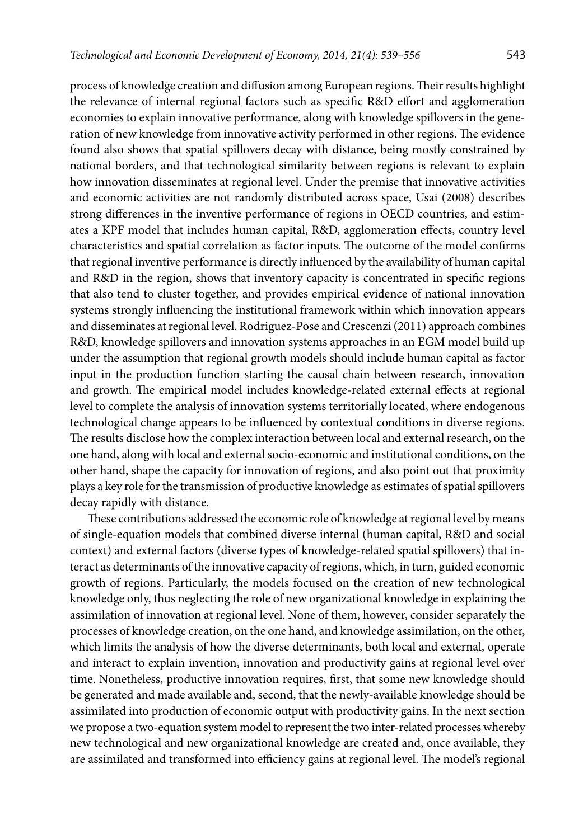process of knowledge creation and diffusion among European regions. Their results highlight the relevance of internal regional factors such as specific R&D effort and agglomeration economies to explain innovative performance, along with knowledge spillovers in the generation of new knowledge from innovative activity performed in other regions. The evidence found also shows that spatial spillovers decay with distance, being mostly constrained by national borders, and that technological similarity between regions is relevant to explain how innovation disseminates at regional level. Under the premise that innovative activities and economic activities are not randomly distributed across space, Usai (2008) describes strong differences in the inventive performance of regions in OECD countries, and estimates a KPF model that includes human capital, R&D, agglomeration effects, country level characteristics and spatial correlation as factor inputs. The outcome of the model confirms that regional inventive performance is directly influenced by the availability of human capital and R&D in the region, shows that inventory capacity is concentrated in specific regions that also tend to cluster together, and provides empirical evidence of national innovation systems strongly influencing the institutional framework within which innovation appears and disseminates at regional level. Rodriguez-Pose and Crescenzi (2011) approach combines R&D, knowledge spillovers and innovation systems approaches in an EGM model build up under the assumption that regional growth models should include human capital as factor input in the production function starting the causal chain between research, innovation and growth. The empirical model includes knowledge-related external effects at regional level to complete the analysis of innovation systems territorially located, where endogenous technological change appears to be influenced by contextual conditions in diverse regions. The results disclose how the complex interaction between local and external research, on the one hand, along with local and external socio-economic and institutional conditions, on the other hand, shape the capacity for innovation of regions, and also point out that proximity plays a key role for the transmission of productive knowledge as estimates of spatial spillovers decay rapidly with distance.

These contributions addressed the economic role of knowledge at regional level by means of single-equation models that combined diverse internal (human capital, R&D and social context) and external factors (diverse types of knowledge-related spatial spillovers) that interact as determinants of the innovative capacity of regions, which, in turn, guided economic growth of regions. Particularly, the models focused on the creation of new technological knowledge only, thus neglecting the role of new organizational knowledge in explaining the assimilation of innovation at regional level. None of them, however, consider separately the processes of knowledge creation, on the one hand, and knowledge assimilation, on the other, which limits the analysis of how the diverse determinants, both local and external, operate and interact to explain invention, innovation and productivity gains at regional level over time. Nonetheless, productive innovation requires, first, that some new knowledge should be generated and made available and, second, that the newly-available knowledge should be assimilated into production of economic output with productivity gains. In the next section we propose a two-equation system model to represent the two inter-related processes whereby new technological and new organizational knowledge are created and, once available, they are assimilated and transformed into efficiency gains at regional level. The model's regional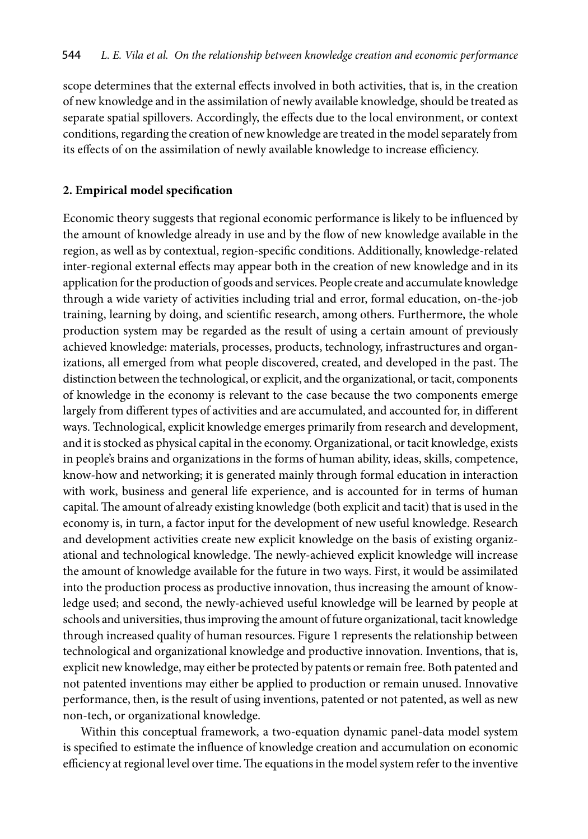scope determines that the external effects involved in both activities, that is, in the creation of new knowledge and in the assimilation of newly available knowledge, should be treated as separate spatial spillovers. Accordingly, the effects due to the local environment, or context conditions, regarding the creation of new knowledge are treated in the model separately from its effects of on the assimilation of newly available knowledge to increase efficiency.

# **2. Empirical model specification**

Economic theory suggests that regional economic performance is likely to be influenced by the amount of knowledge already in use and by the flow of new knowledge available in the region, as well as by contextual, region-specific conditions. Additionally, knowledge-related inter-regional external effects may appear both in the creation of new knowledge and in its application for the production of goods and services. People create and accumulate knowledge through a wide variety of activities including trial and error, formal education, on-the-job training, learning by doing, and scientific research, among others. Furthermore, the whole production system may be regarded as the result of using a certain amount of previously achieved knowledge: materials, processes, products, technology, infrastructures and organizations, all emerged from what people discovered, created, and developed in the past. The distinction between the technological, or explicit, and the organizational, or tacit, components of knowledge in the economy is relevant to the case because the two components emerge largely from different types of activities and are accumulated, and accounted for, in different ways. Technological, explicit knowledge emerges primarily from research and development, and it is stocked as physical capital in the economy. Organizational, or tacit knowledge, exists in people's brains and organizations in the forms of human ability, ideas, skills, competence, know-how and networking; it is generated mainly through formal education in interaction with work, business and general life experience, and is accounted for in terms of human capital. The amount of already existing knowledge (both explicit and tacit) that is used in the economy is, in turn, a factor input for the development of new useful knowledge. Research and development activities create new explicit knowledge on the basis of existing organizational and technological knowledge. The newly-achieved explicit knowledge will increase the amount of knowledge available for the future in two ways. First, it would be assimilated into the production process as productive innovation, thus increasing the amount of knowledge used; and second, the newly-achieved useful knowledge will be learned by people at schools and universities, thus improving the amount of future organizational, tacit knowledge through increased quality of human resources. Figure 1 represents the relationship between technological and organizational knowledge and productive innovation. Inventions, that is, explicit new knowledge, may either be protected by patents or remain free. Both patented and not patented inventions may either be applied to production or remain unused. Innovative performance, then, is the result of using inventions, patented or not patented, as well as new non-tech, or organizational knowledge.

Within this conceptual framework, a two-equation dynamic panel-data model system is specified to estimate the influence of knowledge creation and accumulation on economic efficiency at regional level over time. The equations in the model system refer to the inventive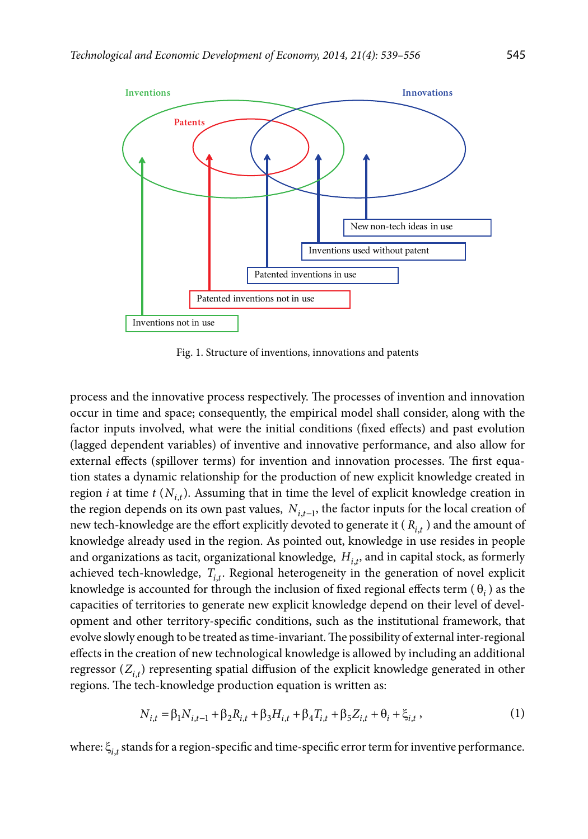

Fig. 1. Structure of inventions, innovations and patents

process and the innovative process respectively. The processes of invention and innovation occur in time and space; consequently, the empirical model shall consider, along with the factor inputs involved, what were the initial conditions (fixed effects) and past evolution (lagged dependent variables) of inventive and innovative performance, and also allow for external effects (spillover terms) for invention and innovation processes. The first equation states a dynamic relationship for the production of new explicit knowledge created in region *i* at time *t* ( $N_{i,t}$ ). Assuming that in time the level of explicit knowledge creation in the region depends on its own past values,  $N_{i,t-1}$ , the factor inputs for the local creation of new tech-knowledge are the effort explicitly devoted to generate it ( $R_{i,t}$ ) and the amount of knowledge already used in the region. As pointed out, knowledge in use resides in people and organizations as tacit, organizational knowledge,  $H_{i,t}$ , and in capital stock, as formerly achieved tech-knowledge,  $T_{i,t}$ . Regional heterogeneity in the generation of novel explicit knowledge is accounted for through the inclusion of fixed regional effects term  $(\theta_i)$  as the capacities of territories to generate new explicit knowledge depend on their level of development and other territory-specific conditions, such as the institutional framework, that evolve slowly enough to be treated as time-invariant. The possibility of external inter-regional effects in the creation of new technological knowledge is allowed by including an additional regressor  $(Z_{i,t})$  representing spatial diffusion of the explicit knowledge generated in other regions. The tech-knowledge production equation is written as:

$$
N_{i,t} = \beta_1 N_{i,t-1} + \beta_2 R_{i,t} + \beta_3 H_{i,t} + \beta_4 T_{i,t} + \beta_5 Z_{i,t} + \theta_i + \xi_{i,t},
$$
\n(1)

where: ξ<sub>*i,t*</sub> stands for a region-specific and time-specific error term for inventive performance.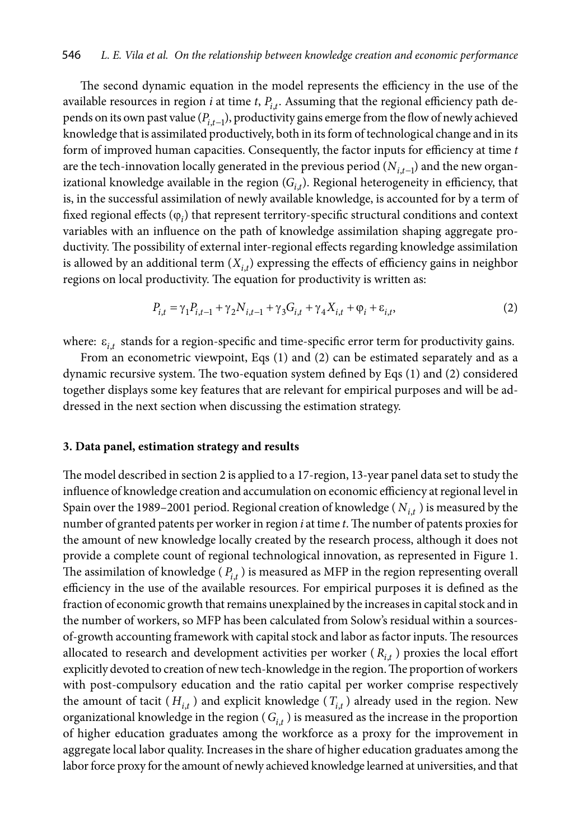The second dynamic equation in the model represents the efficiency in the use of the available resources in region  $i$  at time  $t$ ,  $P_{i,t}$ . Assuming that the regional efficiency path depends on its own past value  $(P_{i,t-1})$ , productivity gains emerge from the flow of newly achieved knowledge that is assimilated productively, both in its form of technological change and in its form of improved human capacities. Consequently, the factor inputs for efficiency at time *t*  are the tech-innovation locally generated in the previous period ( $N_{i,t-1}$ ) and the new organizational knowledge available in the region  $(G<sub>i,t</sub>)$ . Regional heterogeneity in efficiency, that is, in the successful assimilation of newly available knowledge, is accounted for by a term of fixed regional effects  $(\varphi_i)$  that represent territory-specific structural conditions and context variables with an influence on the path of knowledge assimilation shaping aggregate productivity. The possibility of external inter-regional effects regarding knowledge assimilation is allowed by an additional term  $(X_i)$  expressing the effects of efficiency gains in neighbor regions on local productivity. The equation for productivity is written as:

$$
P_{i,t} = \gamma_1 P_{i,t-1} + \gamma_2 N_{i,t-1} + \gamma_3 G_{i,t} + \gamma_4 X_{i,t} + \varphi_i + \varepsilon_{i,t},
$$
\n(2)

where: ε<sub>*i,t*</sub> stands for a region-specific and time-specific error term for productivity gains.

From an econometric viewpoint, Eqs (1) and (2) can be estimated separately and as a dynamic recursive system. The two-equation system defined by Eqs (1) and (2) considered together displays some key features that are relevant for empirical purposes and will be addressed in the next section when discussing the estimation strategy.

#### **3. Data panel, estimation strategy and results**

The model described in section 2 is applied to a 17-region, 13-year panel data set to study the influence of knowledge creation and accumulation on economic efficiency at regional level in Spain over the 1989–2001 period. Regional creation of knowledge ( $N_{i,t}$ ) is measured by the number of granted patents per worker in region *i* at time *t*. The number of patents proxies for the amount of new knowledge locally created by the research process, although it does not provide a complete count of regional technological innovation, as represented in Figure 1. The assimilation of knowledge  $(P_{i,t})$  is measured as MFP in the region representing overall efficiency in the use of the available resources. For empirical purposes it is defined as the fraction of economic growth that remains unexplained by the increases in capital stock and in the number of workers, so MFP has been calculated from Solow's residual within a sourcesof-growth accounting framework with capital stock and labor as factor inputs. The resources allocated to research and development activities per worker  $(R_{i,t})$  proxies the local effort explicitly devoted to creation of new tech-knowledge in the region. The proportion of workers with post-compulsory education and the ratio capital per worker comprise respectively the amount of tacit ( $H_{i,t}$ ) and explicit knowledge ( $T_{i,t}$ ) already used in the region. New organizational knowledge in the region  $(G<sub>it</sub>)$  is measured as the increase in the proportion of higher education graduates among the workforce as a proxy for the improvement in aggregate local labor quality. Increases in the share of higher education graduates among the labor force proxy for the amount of newly achieved knowledge learned at universities, and that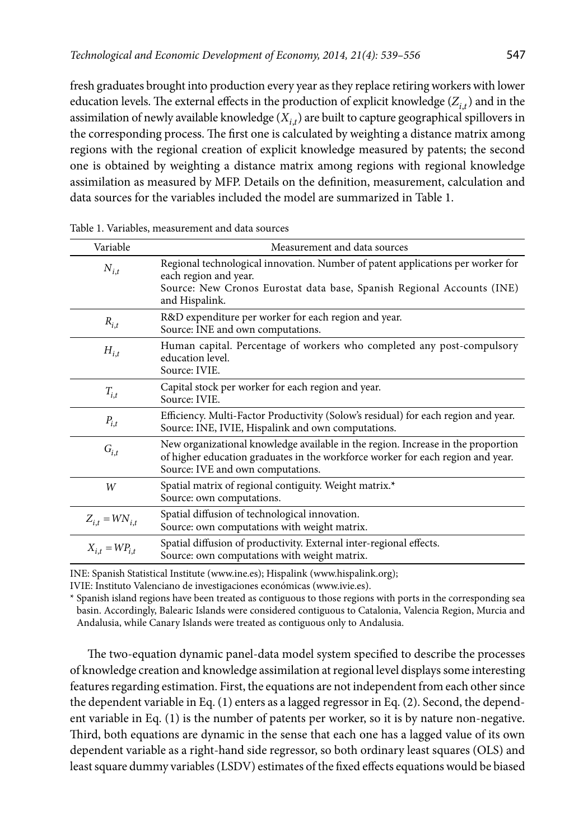fresh graduates brought into production every year as they replace retiring workers with lower education levels. The external effects in the production of explicit knowledge  $(Z_{i,t})$  and in the assimilation of newly available knowledge  $(X_{i,t})$  are built to capture geographical spillovers in the corresponding process. The first one is calculated by weighting a distance matrix among regions with the regional creation of explicit knowledge measured by patents; the second one is obtained by weighting a distance matrix among regions with regional knowledge assimilation as measured by MFP. Details on the definition, measurement, calculation and data sources for the variables included the model are summarized in Table 1.

| Variable              | Measurement and data sources                                                                                                                                                                             |  |  |  |  |  |
|-----------------------|----------------------------------------------------------------------------------------------------------------------------------------------------------------------------------------------------------|--|--|--|--|--|
| $N_{i,t}$             | Regional technological innovation. Number of patent applications per worker for<br>each region and year.                                                                                                 |  |  |  |  |  |
|                       | Source: New Cronos Eurostat data base, Spanish Regional Accounts (INE)<br>and Hispalink.                                                                                                                 |  |  |  |  |  |
| $R_{i,t}$             | R&D expenditure per worker for each region and year.<br>Source: INE and own computations.                                                                                                                |  |  |  |  |  |
| $H_{i,t}$             | Human capital. Percentage of workers who completed any post-compulsory<br>education level.<br>Source: IVIE.                                                                                              |  |  |  |  |  |
| $T_{i,t}$             | Capital stock per worker for each region and year.<br>Source: IVIE.                                                                                                                                      |  |  |  |  |  |
| $P_{i,t}$             | Efficiency. Multi-Factor Productivity (Solow's residual) for each region and year.<br>Source: INE, IVIE, Hispalink and own computations.                                                                 |  |  |  |  |  |
| $G_{i,t}$             | New organizational knowledge available in the region. Increase in the proportion<br>of higher education graduates in the workforce worker for each region and year.<br>Source: IVE and own computations. |  |  |  |  |  |
| W                     | Spatial matrix of regional contiguity. Weight matrix.*<br>Source: own computations.                                                                                                                      |  |  |  |  |  |
| $Z_{i,t} = W N_{i,t}$ | Spatial diffusion of technological innovation.<br>Source: own computations with weight matrix.                                                                                                           |  |  |  |  |  |
| $X_{i,t} = WP_{i,t}$  | Spatial diffusion of productivity. External inter-regional effects.<br>Source: own computations with weight matrix.                                                                                      |  |  |  |  |  |

Table 1. Variables, measurement and data sources

INE: Spanish Statistical Institute ([www.ine.es\)](http://www.ine.es); Hispalink ([www.hispalink.org\)](http://www.hispalink.org);

IVIE: Instituto Valenciano de investigaciones económicas [\(www.ivie.es\)](http://www.ivie.es).

\* Spanish island regions have been treated as contiguous to those regions with ports in the corresponding sea basin. Accordingly, Balearic Islands were considered contiguous to Catalonia, Valencia Region, Murcia and Andalusia, while Canary Islands were treated as contiguous only to Andalusia.

The two-equation dynamic panel-data model system specified to describe the processes of knowledge creation and knowledge assimilation at regional level displays some interesting features regarding estimation. First, the equations are not independent from each other since the dependent variable in Eq. (1) enters as a lagged regressor in Eq. (2). Second, the dependent variable in Eq. (1) is the number of patents per worker, so it is by nature non-negative. Third, both equations are dynamic in the sense that each one has a lagged value of its own dependent variable as a right-hand side regressor, so both ordinary least squares (OLS) and least square dummy variables (LSDV) estimates of the fixed effects equations would be biased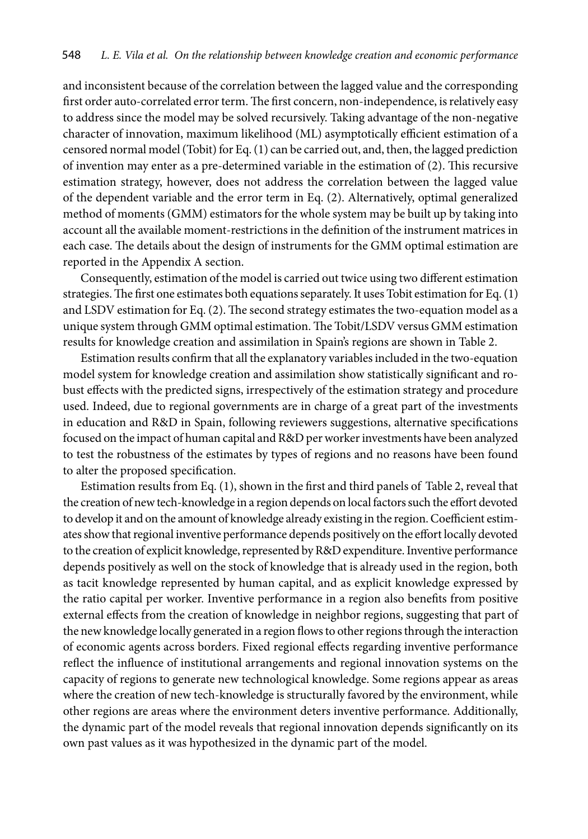and inconsistent because of the correlation between the lagged value and the corresponding first order auto-correlated error term. The first concern, non-independence, is relatively easy to address since the model may be solved recursively. Taking advantage of the non-negative character of innovation, maximum likelihood (ML) asymptotically efficient estimation of a censored normal model (Tobit) for Eq. (1) can be carried out, and, then, the lagged prediction of invention may enter as a pre-determined variable in the estimation of (2). This recursive estimation strategy, however, does not address the correlation between the lagged value of the dependent variable and the error term in Eq. (2). Alternatively, optimal generalized method of moments (GMM) estimators for the whole system may be built up by taking into account all the available moment-restrictions in the definition of the instrument matrices in each case. The details about the design of instruments for the GMM optimal estimation are reported in the Appendix A section.

Consequently, estimation of the model is carried out twice using two different estimation strategies. The first one estimates both equations separately. It uses Tobit estimation for Eq. (1) and LSDV estimation for Eq. (2). The second strategy estimates the two-equation model as a unique system through GMM optimal estimation. The Tobit/LSDV versus GMM estimation results for knowledge creation and assimilation in Spain's regions are shown in Table 2.

Estimation results confirm that all the explanatory variables included in the two-equation model system for knowledge creation and assimilation show statistically significant and robust effects with the predicted signs, irrespectively of the estimation strategy and procedure used. Indeed, due to regional governments are in charge of a great part of the investments in education and R&D in Spain, following reviewers suggestions, alternative specifications focused on the impact of human capital and R&D per worker investments have been analyzed to test the robustness of the estimates by types of regions and no reasons have been found to alter the proposed specification.

Estimation results from Eq. (1), shown in the first and third panels of Table 2, reveal that the creation of new tech-knowledge in a region depends on local factors such the effort devoted to develop it and on the amount of knowledge already existing in the region. Coefficient estimates show that regional inventive performance depends positively on the effort locally devoted to the creation of explicit knowledge, represented by R&D expenditure. Inventive performance depends positively as well on the stock of knowledge that is already used in the region, both as tacit knowledge represented by human capital, and as explicit knowledge expressed by the ratio capital per worker. Inventive performance in a region also benefits from positive external effects from the creation of knowledge in neighbor regions, suggesting that part of the new knowledge locally generated in a region flows to other regions through the interaction of economic agents across borders. Fixed regional effects regarding inventive performance reflect the influence of institutional arrangements and regional innovation systems on the capacity of regions to generate new technological knowledge. Some regions appear as areas where the creation of new tech-knowledge is structurally favored by the environment, while other regions are areas where the environment deters inventive performance. Additionally, the dynamic part of the model reveals that regional innovation depends significantly on its own past values as it was hypothesized in the dynamic part of the model.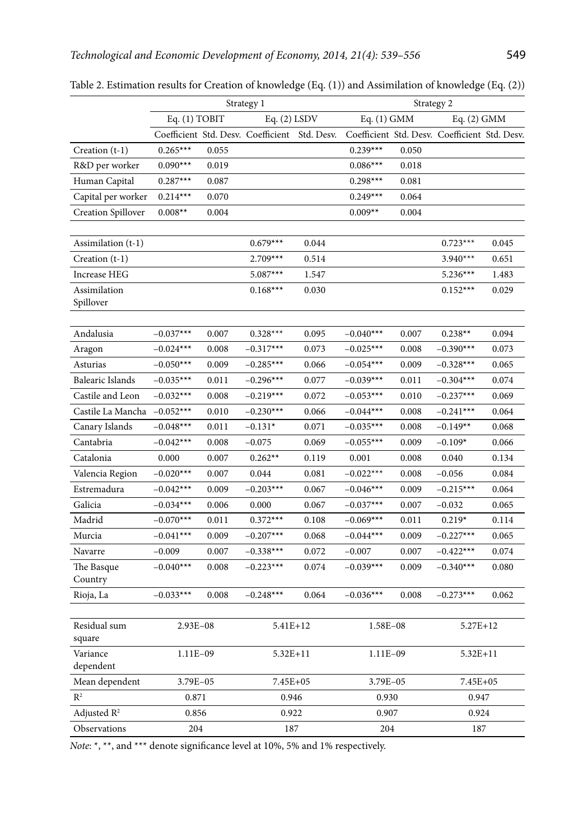|                           | Strategy 1                      |       |                                    |                                | Strategy 2  |       |                                               |       |
|---------------------------|---------------------------------|-------|------------------------------------|--------------------------------|-------------|-------|-----------------------------------------------|-------|
|                           | Eq. (1) TOBIT<br>Eq. $(2)$ LSDV |       |                                    | Eq. $(1)$ GMM<br>Eq. $(2)$ GMM |             |       |                                               |       |
|                           |                                 |       | Coefficient Std. Desv. Coefficient | Std. Desv.                     |             |       | Coefficient Std. Desv. Coefficient Std. Desv. |       |
| Creation $(t-1)$          | $0.265***$                      | 0.055 |                                    |                                | $0.239***$  | 0.050 |                                               |       |
| R&D per worker            | $0.090***$                      | 0.019 |                                    |                                | $0.086***$  | 0.018 |                                               |       |
| Human Capital             | $0.287***$                      | 0.087 |                                    |                                | $0.298***$  | 0.081 |                                               |       |
| Capital per worker        | $0.214***$                      | 0.070 |                                    |                                | $0.249***$  | 0.064 |                                               |       |
| <b>Creation Spillover</b> | $0.008**$                       | 0.004 |                                    |                                | $0.009**$   | 0.004 |                                               |       |
|                           |                                 |       |                                    |                                |             |       |                                               |       |
| Assimilation (t-1)        |                                 |       | $0.679***$                         | 0.044                          |             |       | $0.723***$                                    | 0.045 |
| Creation $(t-1)$          |                                 |       | $2.709***$                         | 0.514                          |             |       | $3.940***$                                    | 0.651 |
| <b>Increase HEG</b>       |                                 |       | $5.087***$                         | 1.547                          |             |       | $5.236***$                                    | 1.483 |
| Assimilation<br>Spillover |                                 |       | $0.168***$                         | 0.030                          |             |       | $0.152***$                                    | 0.029 |
|                           |                                 |       |                                    |                                |             |       |                                               |       |
| Andalusia                 | $-0.037***$                     | 0.007 | $0.328***$                         | 0.095                          | $-0.040***$ | 0.007 | $0.238**$                                     | 0.094 |
| Aragon                    | $-0.024***$                     | 0.008 | $-0.317***$                        | 0.073                          | $-0.025***$ | 0.008 | $-0.390***$                                   | 0.073 |
| Asturias                  | $-0.050***$                     | 0.009 | $-0.285***$                        | 0.066                          | $-0.054***$ | 0.009 | $-0.328***$                                   | 0.065 |
| <b>Balearic Islands</b>   | $-0.035***$                     | 0.011 | $-0.296***$                        | 0.077                          | $-0.039***$ | 0.011 | $-0.304***$                                   | 0.074 |
| Castile and Leon          | $-0.032***$                     | 0.008 | $-0.219***$                        | 0.072                          | $-0.053***$ | 0.010 | $-0.237***$                                   | 0.069 |
| Castile La Mancha         | $-0.052***$                     | 0.010 | $-0.230***$                        | 0.066                          | $-0.044***$ | 0.008 | $-0.241***$                                   | 0.064 |
| Canary Islands            | $-0.048***$                     | 0.011 | $-0.131*$                          | 0.071                          | $-0.035***$ | 0.008 | $-0.149**$                                    | 0.068 |
| Cantabria                 | $-0.042***$                     | 0.008 | $-0.075$                           | 0.069                          | $-0.055***$ | 0.009 | $-0.109*$                                     | 0.066 |
| Catalonia                 | 0.000                           | 0.007 | $0.262**$                          | 0.119                          | 0.001       | 0.008 | 0.040                                         | 0.134 |
| Valencia Region           | $-0.020***$                     | 0.007 | 0.044                              | 0.081                          | $-0.022***$ | 0.008 | $-0.056$                                      | 0.084 |
| Estremadura               | $-0.042***$                     | 0.009 | $-0.203***$                        | 0.067                          | $-0.046***$ | 0.009 | $-0.215***$                                   | 0.064 |
| Galicia                   | $-0.034***$                     | 0.006 | 0.000                              | 0.067                          | $-0.037***$ | 0.007 | $-0.032$                                      | 0.065 |
| Madrid                    | $-0.070***$                     | 0.011 | $0.372***$                         | 0.108                          | $-0.069***$ | 0.011 | $0.219*$                                      | 0.114 |
| Murcia                    | $-0.041***$                     | 0.009 | $-0.207***$                        | 0.068                          | $-0.044***$ | 0.009 | $-0.227***$                                   | 0.065 |
| Navarre                   | $-0.009$                        | 0.007 | $-0.338***$                        | 0.072                          | $-0.007$    | 0.007 | $-0.422***$                                   | 0.074 |
| The Basque<br>Country     | $-0.040***$                     | 0.008 | $-0.223***$                        | 0.074                          | $-0.039***$ | 0.009 | $-0.340***$                                   | 0.080 |
| Rioja, La                 | $-0.033***$                     | 0.008 | $-0.248***$                        | 0.064                          | $-0.036***$ | 0.008 | $-0.273***$                                   | 0.062 |
|                           |                                 |       |                                    |                                |             |       |                                               |       |
| Residual sum              | 2.93E-08                        |       | $5.41E+12$                         |                                | 1.58E-08    |       | $5.27E+12$                                    |       |
| square                    |                                 |       |                                    |                                |             |       |                                               |       |
| Variance                  | 1.11E-09                        |       | $5.32E+11$                         |                                | 1.11E-09    |       | $5.32E+11$                                    |       |
| dependent                 |                                 |       |                                    |                                |             |       |                                               |       |
| Mean dependent            | 3.79E-05                        |       | 7.45E+05                           |                                | 3.79E-05    |       | 7.45E+05                                      |       |
| R <sup>2</sup>            | 0.871                           |       | 0.946                              |                                | 0.930       |       | 0.947                                         |       |
| Adjusted $\mathbb{R}^2$   | 0.856                           |       | 0.922                              |                                | 0.907       |       | 0.924                                         |       |
| Observations              | 204                             |       | 187                                |                                | 204         |       | 187                                           |       |

Table 2. Estimation results for Creation of knowledge (Eq. (1)) and Assimilation of knowledge (Eq. (2))

*Note*: \*, \*\*, and \*\*\* denote significance level at 10%, 5% and 1% respectively.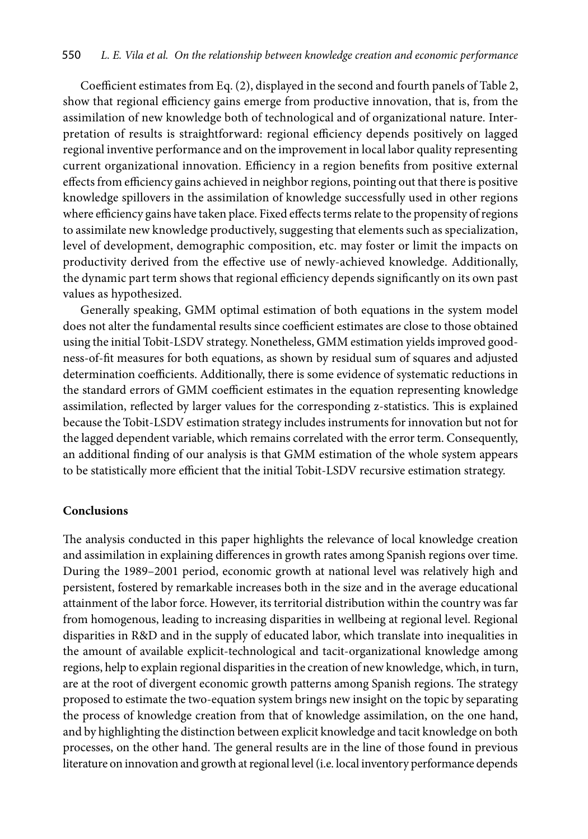Coefficient estimates from Eq. (2), displayed in the second and fourth panels of Table 2, show that regional efficiency gains emerge from productive innovation, that is, from the assimilation of new knowledge both of technological and of organizational nature. Interpretation of results is straightforward: regional efficiency depends positively on lagged regional inventive performance and on the improvement in local labor quality representing current organizational innovation. Efficiency in a region benefits from positive external effects from efficiency gains achieved in neighbor regions, pointing out that there is positive knowledge spillovers in the assimilation of knowledge successfully used in other regions where efficiency gains have taken place. Fixed effects terms relate to the propensity of regions to assimilate new knowledge productively, suggesting that elements such as specialization, level of development, demographic composition, etc. may foster or limit the impacts on productivity derived from the effective use of newly-achieved knowledge. Additionally, the dynamic part term shows that regional efficiency depends significantly on its own past values as hypothesized.

Generally speaking, GMM optimal estimation of both equations in the system model does not alter the fundamental results since coefficient estimates are close to those obtained using the initial Tobit-LSDV strategy. Nonetheless, GMM estimation yields improved goodness-of-fit measures for both equations, as shown by residual sum of squares and adjusted determination coefficients. Additionally, there is some evidence of systematic reductions in the standard errors of GMM coefficient estimates in the equation representing knowledge assimilation, reflected by larger values for the corresponding z-statistics. This is explained because the Tobit-LSDV estimation strategy includes instruments for innovation but not for the lagged dependent variable, which remains correlated with the error term. Consequently, an additional finding of our analysis is that GMM estimation of the whole system appears to be statistically more efficient that the initial Tobit-LSDV recursive estimation strategy.

#### **Conclusions**

The analysis conducted in this paper highlights the relevance of local knowledge creation and assimilation in explaining differences in growth rates among Spanish regions over time. During the 1989–2001 period, economic growth at national level was relatively high and persistent, fostered by remarkable increases both in the size and in the average educational attainment of the labor force. However, its territorial distribution within the country was far from homogenous, leading to increasing disparities in wellbeing at regional level. Regional disparities in R&D and in the supply of educated labor, which translate into inequalities in the amount of available explicit-technological and tacit-organizational knowledge among regions, help to explain regional disparities in the creation of new knowledge, which, in turn, are at the root of divergent economic growth patterns among Spanish regions. The strategy proposed to estimate the two-equation system brings new insight on the topic by separating the process of knowledge creation from that of knowledge assimilation, on the one hand, and by highlighting the distinction between explicit knowledge and tacit knowledge on both processes, on the other hand. The general results are in the line of those found in previous literature on innovation and growth at regional level (i.e. local inventory performance depends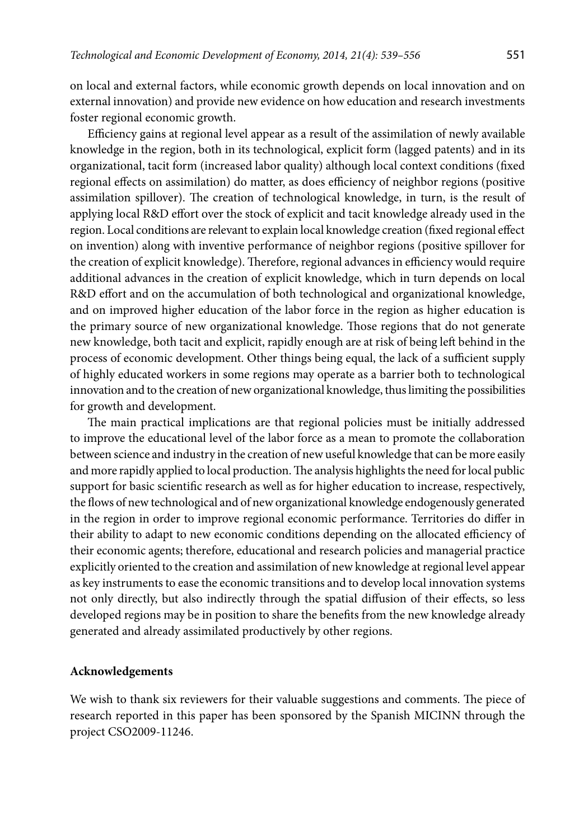on local and external factors, while economic growth depends on local innovation and on external innovation) and provide new evidence on how education and research investments foster regional economic growth.

Efficiency gains at regional level appear as a result of the assimilation of newly available knowledge in the region, both in its technological, explicit form (lagged patents) and in its organizational, tacit form (increased labor quality) although local context conditions (fixed regional effects on assimilation) do matter, as does efficiency of neighbor regions (positive assimilation spillover). The creation of technological knowledge, in turn, is the result of applying local R&D effort over the stock of explicit and tacit knowledge already used in the region. Local conditions are relevant to explain local knowledge creation (fixed regional effect on invention) along with inventive performance of neighbor regions (positive spillover for the creation of explicit knowledge). Therefore, regional advances in efficiency would require additional advances in the creation of explicit knowledge, which in turn depends on local R&D effort and on the accumulation of both technological and organizational knowledge, and on improved higher education of the labor force in the region as higher education is the primary source of new organizational knowledge. Those regions that do not generate new knowledge, both tacit and explicit, rapidly enough are at risk of being left behind in the process of economic development. Other things being equal, the lack of a sufficient supply of highly educated workers in some regions may operate as a barrier both to technological innovation and to the creation of new organizational knowledge, thus limiting the possibilities for growth and development.

The main practical implications are that regional policies must be initially addressed to improve the educational level of the labor force as a mean to promote the collaboration between science and industry in the creation of new useful knowledge that can be more easily and more rapidly applied to local production. The analysis highlights the need for local public support for basic scientific research as well as for higher education to increase, respectively, the flows of new technological and of new organizational knowledge endogenously generated in the region in order to improve regional economic performance. Territories do differ in their ability to adapt to new economic conditions depending on the allocated efficiency of their economic agents; therefore, educational and research policies and managerial practice explicitly oriented to the creation and assimilation of new knowledge at regional level appear as key instruments to ease the economic transitions and to develop local innovation systems not only directly, but also indirectly through the spatial diffusion of their effects, so less developed regions may be in position to share the benefits from the new knowledge already generated and already assimilated productively by other regions.

### **Acknowledgements**

We wish to thank six reviewers for their valuable suggestions and comments. The piece of research reported in this paper has been sponsored by the Spanish MICINN through the project CSO2009-11246.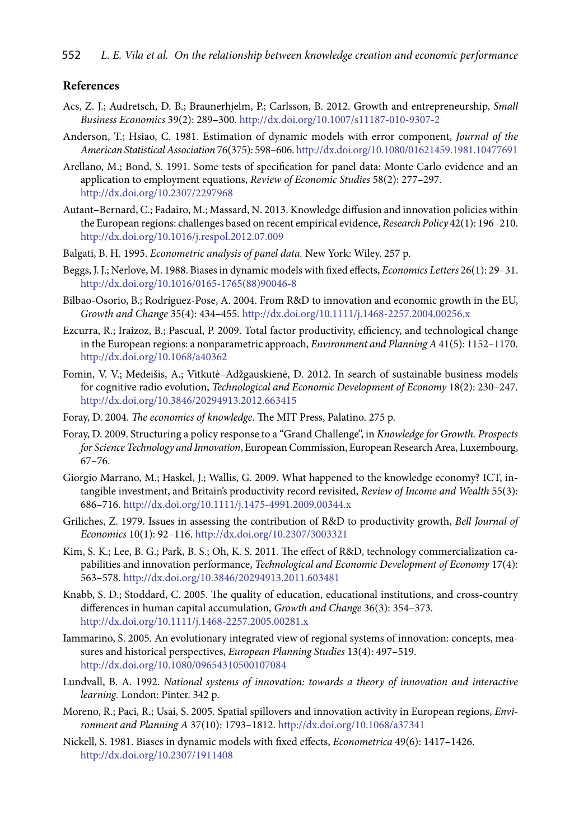#### **References**

- Acs, Z. J.; Audretsch, D. B.; Braunerhjelm, P.; Carlsson, B. 2012. Growth and entrepreneurship, *Small Business Economics* 39(2): 289–300. <http://dx.doi.org/10.1007/s11187-010-9307-2>
- Anderson, T.; Hsiao, C. 1981. Estimation of dynamic models with error component, *Journal of the American Statistical Association* 76(375): 598–606.<http://dx.doi.org/10.1080/01621459.1981.10477691>
- Arellano, M.; Bond, S. 1991. Some tests of specification for panel data: Monte Carlo evidence and an application to employment equations, *Review of Economic Studies* 58(2): 277–297. <http://dx.doi.org/10.2307/2297968>
- Autant–Bernard, C.; Fadairo, M.; Massard, N. 2013. Knowledge diffusion and innovation policies within the European regions: challenges based on recent empirical evidence, *[Research Policy](http://www.sciencedirect.com/science/journal/00487333)* 42(1): 196–210. <http://dx.doi.org/10.1016/j.respol.2012.07.009>
- Balgati, B. H. 1995. *Econometric analysis of panel data.* New York: Wiley. 257 p.
- Beggs, J. J.; Nerlove, M. 1988. Biases in dynamic models with fixed effects, *Economics Letters* 26(1): 29–31. [http://dx.doi.org/10.1016/0165-1765\(88\)90046-8](http://dx.doi.org/10.1016/0165-1765(88)90046-8)
- Bilbao-Osorio, B.; Rodríguez-Pose, A. 2004. From R&D to innovation and economic growth in the EU, *Growth and Change* 35(4): 434–455.<http://dx.doi.org/10.1111/j.1468-2257.2004.00256.x>
- Ezcurra, R.; Iraizoz, B.; Pascual, P. 2009. Total factor productivity, efficiency, and technological change in the European regions: a nonparametric approach, *Environment and Planning A* 41(5): 1152–1170. <http://dx.doi.org/10.1068/a40362>
- Fomin, V. V.; Medeišis, A.; Vitkutė–Adžgauskienė, D. 2012. In search of sustainable business models for cognitive radio evolution, *Technological and Economic Development of Economy* 18(2): 230–247. <http://dx.doi.org/10.3846/20294913.2012.663415>
- Foray, D. 2004. *The economics of knowledge*. The MIT Press, Palatino. 275 p.
- Foray, D. 2009. Structuring a policy response to a "Grand Challenge", in *Knowledge for Growth. Prospects for Science Technology and Innovation*, European Commission, European Research Area, Luxembourg, 67–76.
- Giorgio Marrano, M.; Haskel, J.; Wallis, G. 2009. What happened to the knowledge economy? ICT, intangible investment, and Britain's productivity record revisited, *Review of Income and Wealth* 55(3): 686–716. <http://dx.doi.org/10.1111/j.1475-4991.2009.00344.x>
- Griliches, Z. 1979. Issues in assessing the contribution of R&D to productivity growth, *Bell Journal of Economics* 10(1): 92–116.<http://dx.doi.org/10.2307/3003321>
- Kim, S. K.; Lee, B. G.; Park, B. S.; Oh, K. S. 2011. The effect of R&D, technology commercialization capabilities and innovation performance, *Technological and Economic Development of Economy* 17(4): 563–578. <http://dx.doi.org/10.3846/20294913.2011.603481>
- Knabb, S. D.; Stoddard, C. 2005. The quality of education, educational institutions, and cross-country differences in human capital accumulation, *Growth and Change* 36(3): 354–373. <http://dx.doi.org/10.1111/j.1468-2257.2005.00281.x>
- Iammarino, S. 2005. An evolutionary integrated view of regional systems of innovation: concepts, measures and historical perspectives, *European Planning Studies* 13(4): 497–519. <http://dx.doi.org/10.1080/09654310500107084>
- Lundvall, B. A. 1992. *National systems of innovation: towards a theory of innovation and interactive learning.* London: Pinter. 342 p.
- Moreno, R.; Paci, R.; Usai, S. 2005. Spatial spillovers and innovation activity in European regions, *Environment and Planning A* 37(10): 1793–1812.<http://dx.doi.org/10.1068/a37341>
- Nickell, S. 1981. Biases in dynamic models with fixed effects, *Econometrica* 49(6): 1417–1426. <http://dx.doi.org/10.2307/1911408>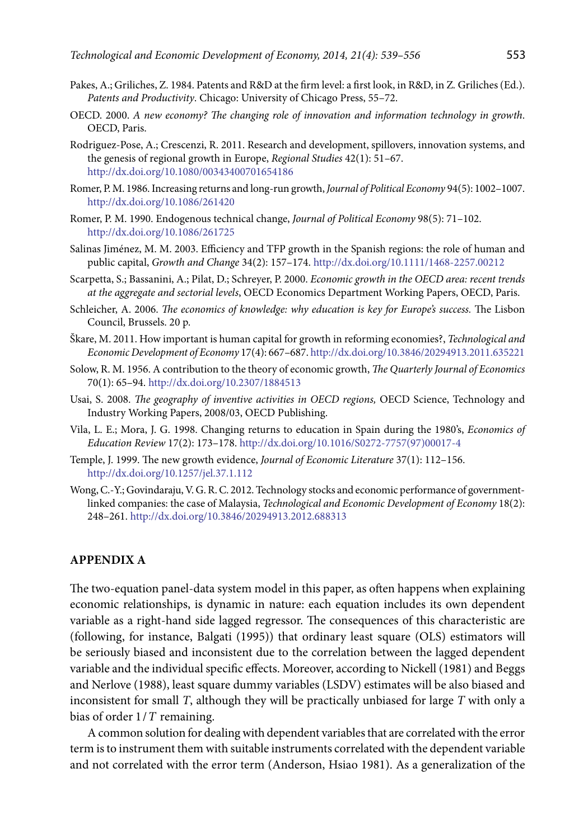- Pakes, A.; Griliches, Z. 1984. Patents and R&D at the firm level: a first look, in R&D, in Z*.* Griliches (Ed.). *Patents and Productivity*. Chicago: University of Chicago Press, 55–72.
- OECD. 2000. *A new economy? The changing role of innovation and information technology in growth*. OECD, Paris.
- Rodriguez-Pose, A.; Crescenzi, R. 2011. Research and development, spillovers, innovation systems, and the genesis of regional growth in Europe, *Regional Studies* 42(1): 51–67. <http://dx.doi.org/10.1080/00343400701654186>
- Romer, P. M. 1986. Increasing returns and long-run growth, *Journal of Political Economy* 94(5): 1002–1007. <http://dx.doi.org/10.1086/261420>
- Romer, P. M. 1990. Endogenous technical change, *Journal of Political Economy* 98(5): 71–102. <http://dx.doi.org/10.1086/261725>
- Salinas Jiménez, M. M. 2003. Efficiency and TFP growth in the Spanish regions: the role of human and public capital, *Growth and Change* 34(2): 157–174. <http://dx.doi.org/10.1111/1468-2257.00212>
- Scarpetta, S.; Bassanini, A.; Pilat, D.; Schreyer, P. 2000. *Economic growth in the OECD area: recent trends at the aggregate and sectorial levels*, OECD Economics Department Working Papers, OECD, Paris.
- Schleicher, A. 2006. *The economics of knowledge: why education is key for Europe's success.* The Lisbon Council, Brussels. 20 p.
- Škare, M. 2011. How important is human capital for growth in reforming economies?, *Technological and Economic Development of Economy* 17(4): 667–687. <http://dx.doi.org/10.3846/20294913.2011.635221>
- Solow, R. M. 1956. A contribution to the theory of economic growth, *The Quarterly Journal of Economics* 70(1): 65–94.<http://dx.doi.org/10.2307/1884513>
- Usai, S. 2008. *The geography of inventive activities in OECD regions,* OECD Science, Technology and Industry Working Papers, 2008/03, OECD Publishing.
- Vila, L. E.; Mora, J. G. 1998. Changing returns to education in Spain during the 1980's, *Economics of Education Review* 17(2): 173–178. [http://dx.doi.org/10.1016/S0272-7757\(97\)00017-4](http://dx.doi.org/10.1016/S0272-7757(97)00017-4)
- Temple, J. 1999. The new growth evidence, *Journal of Economic Literature* 37(1): 112–156. <http://dx.doi.org/10.1257/jel.37.1.112>
- Wong, C.-Y.; Govindaraju, V. G. R. C. 2012. Technology stocks and economic performance of governmentlinked companies: the case of Malaysia, *Technological and Economic Development of Economy* 18(2): 248–261. <http://dx.doi.org/10.3846/20294913.2012.688313>

## **Appendix A**

The two-equation panel-data system model in this paper, as often happens when explaining economic relationships, is dynamic in nature: each equation includes its own dependent variable as a right-hand side lagged regressor. The consequences of this characteristic are (following, for instance, Balgati (1995)) that ordinary least square (OLS) estimators will be seriously biased and inconsistent due to the correlation between the lagged dependent variable and the individual specific effects. Moreover, according to Nickell (1981) and Beggs and Nerlove (1988), least square dummy variables (LSDV) estimates will be also biased and inconsistent for small *T*, although they will be practically unbiased for large *T* with only a bias of order 1/*T* remaining.

A common solution for dealing with dependent variables that are correlated with the error term is to instrument them with suitable instruments correlated with the dependent variable and not correlated with the error term (Anderson, Hsiao 1981). As a generalization of the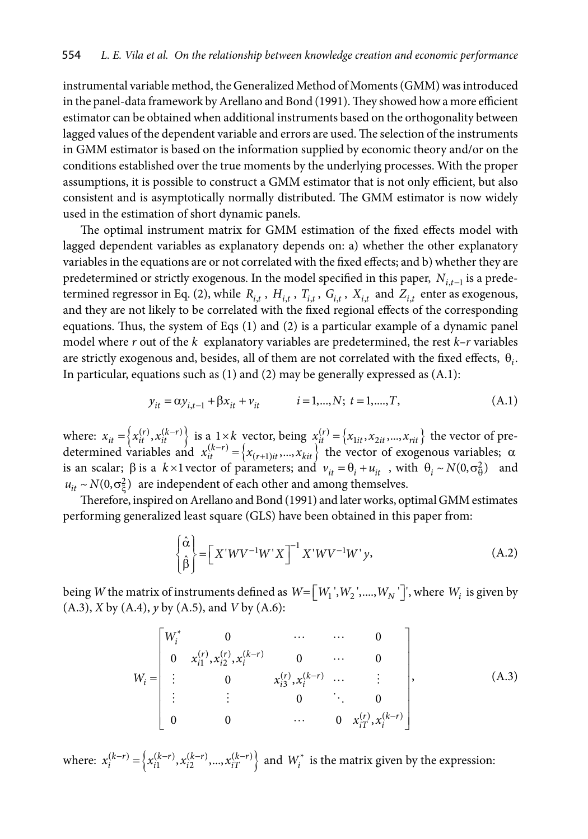instrumental variable method, the Generalized Method of Moments (GMM) was introduced in the panel-data framework by Arellano and Bond (1991). They showed how a more efficient estimator can be obtained when additional instruments based on the orthogonality between lagged values of the dependent variable and errors are used. The selection of the instruments in GMM estimator is based on the information supplied by economic theory and/or on the conditions established over the true moments by the underlying processes. With the proper assumptions, it is possible to construct a GMM estimator that is not only efficient, but also consistent and is asymptotically normally distributed. The GMM estimator is now widely used in the estimation of short dynamic panels.

The optimal instrument matrix for GMM estimation of the fixed effects model with lagged dependent variables as explanatory depends on: a) whether the other explanatory variables in the equations are or not correlated with the fixed effects; and b) whether they are predetermined or strictly exogenous. In the model specified in this paper, *N<sub>it-1</sub>* is a predetermined regressor in Eq. (2), while  $R_{i,t}$ ,  $H_{i,t}$ ,  $T_{i,t}$ ,  $G_{i,t}$ ,  $X_{i,t}$  and  $Z_{i,t}$  enter as exogenous, and they are not likely to be correlated with the fixed regional effects of the corresponding equations. Thus, the system of Eqs (1) and (2) is a particular example of a dynamic panel model where *r* out of the *k* explanatory variables are predetermined, the rest *k–r* variables are strictly exogenous and, besides, all of them are not correlated with the fixed effects,  $\theta_i$ . In particular, equations such as  $(1)$  and  $(2)$  may be generally expressed as  $(A.1)$ :

$$
y_{it} = \alpha y_{i,t-1} + \beta x_{it} + v_{it} \qquad i = 1,...,N; \ t = 1,...,T,
$$
 (A.1)

where:  $x_{it} = \left\{ x_{it}^{(r)}, x_{it}^{(k-r)} \right\}$  is a  $1 \times k$  vector, being  $x_{it}^{(r)} = \left\{ x_{1it}, x_{2it}, ..., x_{rit} \right\}$  the vector of predetermined variables and  $x_{it}^{(k-r)} = \{x_{(r+1)it},...,x_{kit}\}\)$  the vector of exogenous variables;  $\alpha$ is an scalar;  $\beta$  is a  $k \times 1$  vector of parameters; and  $v_{it} = \theta_i + u_{it}$ , with  $\theta_i \sim N(0, \sigma_0^2)$  and  $u_{it} \sim N(0, \sigma_{\xi}^2)$  are independent of each other and among themselves.

Therefore, inspired on Arellano and Bond (1991) and later works, optimal GMM estimates performing generalized least square (GLS) have been obtained in this paper from:

$$
\begin{cases} \hat{\alpha} \\ \hat{\beta} \end{cases} = \left[ X'WV^{-1}W'X \right]^{-1} X'WV^{-1}W'y, \tag{A.2}
$$

being *W* the matrix of instruments defined as  $W = \begin{bmatrix} W_1', W_2', ..., W_N' \end{bmatrix}$ , where  $W_i$  is given by (A.3), *X* by (A.4), *y* by (A.5), and *V* by (A.6):

$$
W_{i} = \begin{bmatrix} W_{i}^{*} & 0 & \cdots & \cdots & 0 \\ 0 & x_{i1}^{(r)}, x_{i2}^{(r)}, x_{i}^{(k-r)} & 0 & \cdots & 0 \\ \vdots & 0 & x_{i3}^{(r)}, x_{i}^{(k-r)} & \cdots & \vdots \\ \vdots & \vdots & 0 & \ddots & 0 \\ 0 & 0 & \cdots & 0 & x_{iT}^{(r)}, x_{i}^{(k-r)} \end{bmatrix},
$$
 (A.3)

where:  $x_i^{(k-r)} = \left\{ x_{i1}^{(k-r)}, x_{i2}^{(k-r)}, ..., x_{iT}^{(k-r)} \right\}$  and  $W_i^*$  is the matrix given by the expression: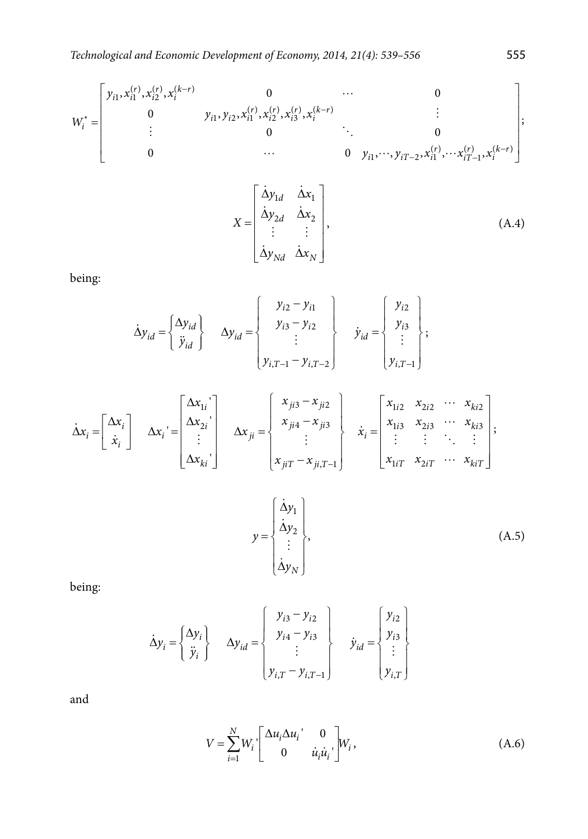$$
W_{i}^{*} = \begin{bmatrix} y_{i1}, x_{i1}^{(r)}, x_{i2}^{(r)}, x_{i}^{(k-r)} & 0 & \cdots & 0 \\ 0 & y_{i1}, y_{i2}, x_{i1}^{(r)}, x_{i2}^{(r)}, x_{i3}^{(k-r)} & \vdots \\ \vdots & 0 & \ddots & 0 \\ 0 & \cdots & 0 & y_{i1}, \cdots, y_{iT-2}, x_{i1}^{(r)}, \cdots, x_{iT-1}^{(r)}, x_{i}^{(k-r)} \end{bmatrix};
$$
  
\n
$$
\begin{bmatrix} \dot{\Lambda}y_{11} & \dot{\Lambda}x_{1} \end{bmatrix}
$$

$$
X = \begin{bmatrix} \Delta y_{1d} & \Delta x_1 \\ \Delta y_{2d} & \Delta x_2 \\ \vdots & \vdots \\ \Delta y_{Nd} & \Delta x_N \end{bmatrix},
$$
 (A.4)

being:

$$
\dot{\Delta}y_{id} = \begin{Bmatrix} \Delta y_{id} \\ \ddot{y}_{id} \end{Bmatrix} \qquad \Delta y_{id} = \begin{Bmatrix} y_{i2} - y_{i1} \\ y_{i3} - y_{i2} \\ \vdots \\ y_{i,T-1} - y_{i,T-2} \end{Bmatrix} \qquad \dot{y}_{id} = \begin{Bmatrix} y_{i2} \\ y_{i3} \\ \vdots \\ y_{i,T-1} \end{Bmatrix};
$$

$$
\dot{\Delta}x_{i} = \begin{bmatrix} \Delta x_{i} \\ \dot{x}_{i} \end{bmatrix} \quad \Delta x_{i} = \begin{bmatrix} \Delta x_{1i} \\ \Delta x_{2i} \\ \vdots \\ \Delta x_{ki} \end{bmatrix} \quad \Delta x_{ji} = \begin{bmatrix} x_{ji3} - x_{ji2} \\ x_{ji4} - x_{ji3} \\ \vdots \\ x_{jiT} - x_{ji,T-1} \end{bmatrix} \quad \dot{x}_{i} = \begin{bmatrix} x_{1i2} & x_{2i2} & \cdots & x_{ki2} \\ x_{1i3} & x_{2i3} & \cdots & x_{ki3} \\ \vdots & \vdots & \ddots & \vdots \\ x_{1iT} & x_{2iT} & \cdots & x_{kiT} \end{bmatrix};
$$

$$
y = \begin{cases} \dot{\Delta}y_1 \\ \dot{\Delta}y_2 \\ \vdots \\ \dot{\Delta}y_N \end{cases}, \tag{A.5}
$$

being:

$$
\Delta y_i = \begin{Bmatrix} \Delta y_i \\ \ddot{y}_i \end{Bmatrix} \qquad \Delta y_{id} = \begin{Bmatrix} y_{i3} - y_{i2} \\ y_{i4} - y_{i3} \\ \vdots \\ y_{i,T} - y_{i,T-1} \end{Bmatrix} \qquad \dot{y}_{id} = \begin{Bmatrix} y_{i2} \\ y_{i3} \\ \vdots \\ y_{i,T} \end{Bmatrix}
$$

and

$$
V = \sum_{i=1}^{N} W_i \begin{bmatrix} \Delta u_i \Delta u_i & 0 \\ 0 & \dot{u}_i \dot{u}_i \end{bmatrix} W_i, \tag{A.6}
$$